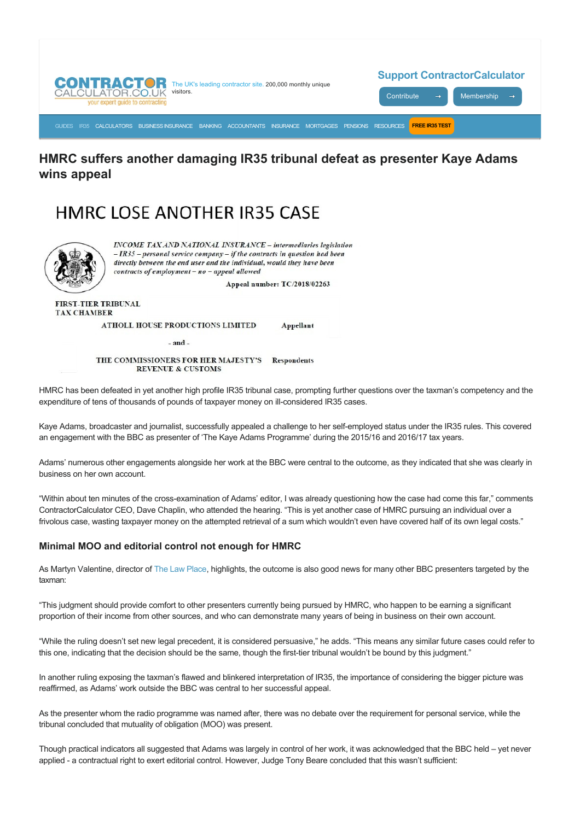

## **HMRC suffers another damaging IR35 tribunal defeat as presenter Kaye Adams wins appeal**

# HMRC LOSE ANOTHER IR35 CASE



**INCOME TAX AND NATIONAL INSURANCE - intermediaries legislation**  $- IR35$  - personal service company - if the contracts in question had been directly between the end user and the individual, would they have been contracts of employment - no - appeal allowed

Appeal number: TC/2018/02263

Appellant

**FIRST-TIER TRIBUNAL TAX CHAMBER** 

ATHOLL HOUSE PRODUCTIONS LIMITED

 $-$ and $-$ 

THE COMMISSIONERS FOR HER MAJESTY'S **Respondents REVENUE & CUSTOMS** 

HMRC has been defeated in yet another high profile IR35 tribunal case, prompting further questions over the taxman's competency and the expenditure of tens of thousands of pounds of taxpayer money on ill-considered IR35 cases.

Kaye Adams, broadcaster and journalist, successfully appealed a challenge to her selfemployed status under the IR35 rules. This covered an engagement with the BBC as presenter of 'The Kaye Adams Programme' during the 2015/16 and 2016/17 tax years.

Adams' numerous other engagements alongside her work at the BBC were central to the outcome, as they indicated that she was clearly in business on her own account.

"Within about ten minutes of the crossexamination of Adams' editor, I was already questioning how the case had come this far," comments ContractorCalculator CEO, Dave Chaplin, who attended the hearing. "This is yet another case of HMRC pursuing an individual over a frivolous case, wasting taxpayer money on the attempted retrieval of a sum which wouldn't even have covered half of its own legal costs."

### **Minimal MOO and editorial control not enough for HMRC**

As Martyn Valentine, director of [The Law Place](http://www.thelawplace.co.uk/), highlights, the outcome is also good news for many other BBC presenters targeted by the taxman:

"This judgment should provide comfort to other presenters currently being pursued by HMRC, who happen to be earning a significant proportion of their income from other sources, and who can demonstrate many years of being in business on their own account.

"While the ruling doesn't set new legal precedent, it is considered persuasive," he adds. "This means any similar future cases could refer to this one, indicating that the decision should be the same, though the first-tier tribunal wouldn't be bound by this judgment."

In another ruling exposing the taxman's flawed and blinkered interpretation of IR35, the importance of considering the bigger picture was reaffirmed, as Adams' work outside the BBC was central to her successful appeal.

As the presenter whom the radio programme was named after, there was no debate over the requirement for personal service, while the tribunal concluded that mutuality of obligation (MOO) was present.

Though practical indicators all suggested that Adams was largely in control of her work, it was acknowledged that the BBC held – yet never applied - a contractual right to exert editorial control. However, Judge Tony Beare concluded that this wasn't sufficient: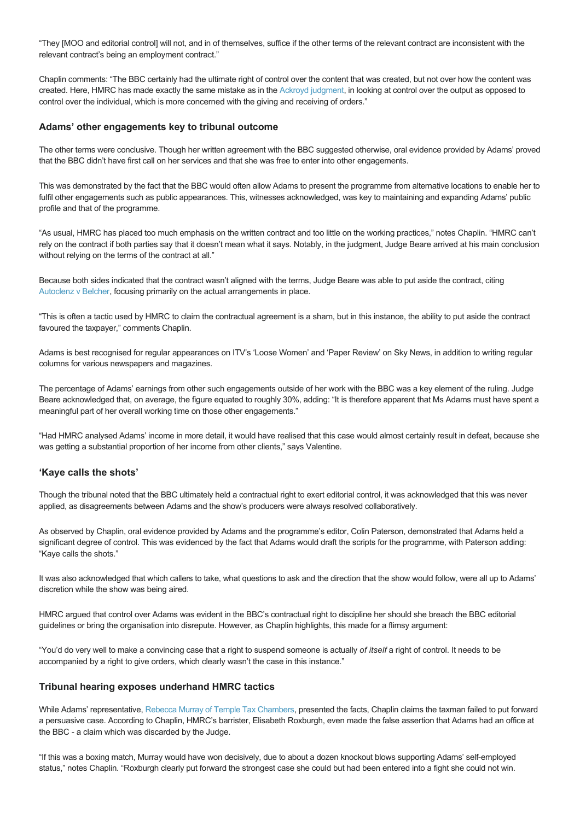"They [MOO and editorial control] will not, and in of themselves, suffice if the other terms of the relevant contract are inconsistent with the relevant contract's being an employment contract."

Chaplin comments: "The BBC certainly had the ultimate right of control over the content that was created, but not over how the content was created. Here, HMRC has made exactly the same mistake as in the [Ackroyd judgment,](https://www.contractorcalculator.co.uk/ir35_bbc_christa_ackroyd_539010_news.aspx) in looking at control over the output as opposed to control over the individual, which is more concerned with the giving and receiving of orders."

#### **Adams' other engagements key to tribunal outcome**

The other terms were conclusive. Though her written agreement with the BBC suggested otherwise, oral evidence provided by Adams' proved that the BBC didn't have first call on her services and that she was free to enter into other engagements.

This was demonstrated by the fact that the BBC would often allow Adams to present the programme from alternative locations to enable her to fulfil other engagements such as public appearances. This, witnesses acknowledged, was key to maintaining and expanding Adams' public profile and that of the programme.

"As usual, HMRC has placed too much emphasis on the written contract and too little on the working practices," notes Chaplin. "HMRC can't rely on the contract if both parties say that it doesn't mean what it says. Notably, in the judgment, Judge Beare arrived at his main conclusion without relying on the terms of the contract at all."

Because both sides indicated that the contract wasn't aligned with the terms, Judge Beare was able to put aside the contract, citing [Autoclenz v Belcher](https://www.contractorcalculator.co.uk/supreme_court_autoclenz_ruling_sham_contracts_390510_news.aspx), focusing primarily on the actual arrangements in place.

"This is often a tactic used by HMRC to claim the contractual agreement is a sham, but in this instance, the ability to put aside the contract favoured the taxpayer," comments Chaplin.

Adams is best recognised for regular appearances on ITV's 'Loose Women' and 'Paper Review' on Sky News, in addition to writing regular columns for various newspapers and magazines.

The percentage of Adams' earnings from other such engagements outside of her work with the BBC was a key element of the ruling. Judge Beare acknowledged that, on average, the figure equated to roughly 30%, adding: "It is therefore apparent that Ms Adams must have spent a meaningful part of her overall working time on those other engagements."

"Had HMRC analysed Adams' income in more detail, it would have realised that this case would almost certainly result in defeat, because she was getting a substantial proportion of her income from other clients," says Valentine.

#### **'Kaye calls the shots'**

Though the tribunal noted that the BBC ultimately held a contractual right to exert editorial control, it was acknowledged that this was never applied, as disagreements between Adams and the show's producers were always resolved collaboratively.

As observed by Chaplin, oral evidence provided by Adams and the programme's editor, Colin Paterson, demonstrated that Adams held a significant degree of control. This was evidenced by the fact that Adams would draft the scripts for the programme, with Paterson adding: "Kaye calls the shots."

It was also acknowledged that which callers to take, what questions to ask and the direction that the show would follow, were all up to Adams' discretion while the show was being aired.

HMRC argued that control over Adams was evident in the BBC's contractual right to discipline her should she breach the BBC editorial guidelines or bring the organisation into disrepute. However, as Chaplin highlights, this made for a flimsy argument:

"You'd do very well to make a convincing case that a right to suspend someone is actually *of itself* a right of control. It needs to be accompanied by a right to give orders, which clearly wasn't the case in this instance."

#### **Tribunal hearing exposes underhand HMRC tactics**

While Adams' representative, [Rebecca Murray of Temple Tax Chambers](http://www.templetax.com/barristers/rebecca-murray), presented the facts, Chaplin claims the taxman failed to put forward a persuasive case. According to Chaplin, HMRC's barrister, Elisabeth Roxburgh, even made the false assertion that Adams had an office at the BBC - a claim which was discarded by the Judge.

"If this was a boxing match, Murray would have won decisively, due to about a dozen knockout blows supporting Adams' selfemployed status," notes Chaplin. "Roxburgh clearly put forward the strongest case she could but had been entered into a fight she could not win.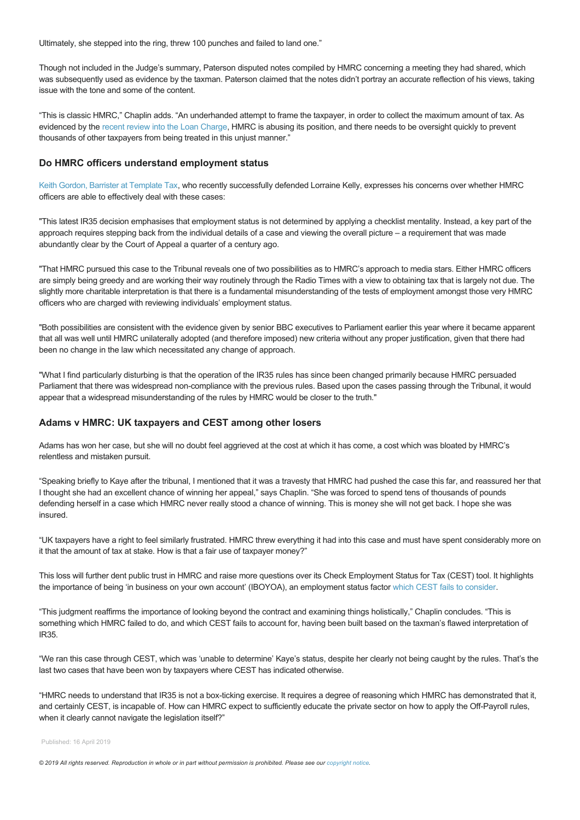Ultimately, she stepped into the ring, threw 100 punches and failed to land one."

Though not included in the Judge's summary, Paterson disputed notes compiled by HMRC concerning a meeting they had shared, which was subsequently used as evidence by the taxman. Paterson claimed that the notes didn't portray an accurate reflection of his views, taking issue with the tone and some of the content.

"This is classic HMRC," Chaplin adds. "An underhanded attempt to frame the taxpayer, in order to collect the maximum amount of tax. As evidenced by the [recent review into the Loan Charge](https://www.contractorcalculator.co.uk/loan_charge_appg_report_exposes_malpractice_hmrc_549410_news.aspx), HMRC is abusing its position, and there needs to be oversight quickly to prevent thousands of other taxpayers from being treated in this unjust manner."

#### **Do HMRC officers understand employment status**

[Keith Gordon, Barrister at Template Tax](http://www.templetax.com/barristers/keith-m-gordon), who recently successfully defended Lorraine Kelly, expresses his concerns over whether HMRC officers are able to effectively deal with these cases:

"This latest IR35 decision emphasises that employment status is not determined by applying a checklist mentality. Instead, a key part of the approach requires stepping back from the individual details of a case and viewing the overall picture – a requirement that was made abundantly clear by the Court of Appeal a quarter of a century ago.

"That HMRC pursued this case to the Tribunal reveals one of two possibilities as to HMRC's approach to media stars. Either HMRC officers are simply being greedy and are working their way routinely through the Radio Times with a view to obtaining tax that is largely not due. The slightly more charitable interpretation is that there is a fundamental misunderstanding of the tests of employment amongst those very HMRC officers who are charged with reviewing individuals' employment status.

"Both possibilities are consistent with the evidence given by senior BBC executives to Parliament earlier this year where it became apparent that all was well until HMRC unilaterally adopted (and therefore imposed) new criteria without any proper justification, given that there had been no change in the law which necessitated any change of approach.

"What I find particularly disturbing is that the operation of the IR35 rules has since been changed primarily because HMRC persuaded Parliament that there was widespread non-compliance with the previous rules. Based upon the cases passing through the Tribunal, it would appear that a widespread misunderstanding of the rules by HMRC would be closer to the truth."

#### **Adams v HMRC: UK taxpayers and CEST among other losers**

Adams has won her case, but she will no doubt feel aggrieved at the cost at which it has come, a cost which was bloated by HMRC's relentless and mistaken pursuit.

"Speaking briefly to Kaye after the tribunal, I mentioned that it was a travesty that HMRC had pushed the case this far, and reassured her that I thought she had an excellent chance of winning her appeal," says Chaplin. "She was forced to spend tens of thousands of pounds defending herself in a case which HMRC never really stood a chance of winning. This is money she will not get back. I hope she was insured.

"UK taxpayers have a right to feel similarly frustrated. HMRC threw everything it had into this case and must have spent considerably more on it that the amount of tax at stake. How is that a fair use of taxpayer money?"

This loss will further dent public trust in HMRC and raise more questions over its Check Employment Status for Tax (CEST) tool. It highlights the importance of being 'in business on your own account' (IBOYOA), an employment status factor [which CEST fails to consider.](https://www.contractorcalculator.co.uk/cest_fraction_questions_hmrc_inquiry_543410_news.aspx)

"This judgment reaffirms the importance of looking beyond the contract and examining things holistically," Chaplin concludes. "This is something which HMRC failed to do, and which CEST fails to account for, having been built based on the taxman's flawed interpretation of IR35.

"We ran this case through CEST, which was 'unable to determine' Kaye's status, despite her clearly not being caught by the rules. That's the last two cases that have been won by taxpayers where CEST has indicated otherwise.

"HMRC needs to understand that IR35 is not a box-ticking exercise. It requires a degree of reasoning which HMRC has demonstrated that it, and certainly CEST, is incapable of. How can HMRC expect to sufficiently educate the private sector on how to apply the Off-Payroll rules, when it clearly cannot navigate the legislation itself?"

Published: 16 April 2019

*© 2019 All rights reserved. Reproduction in whole or in part without permission is prohibited. Please see our [copyright notice](https://www.contractorcalculator.co.uk/copyright.aspx).*